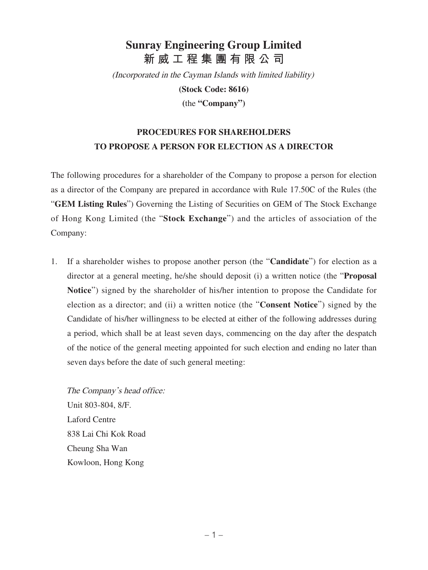## **Sunray Engineering Group Limited 新威工程集團有限公司**

(Incorporated in the Cayman Islands with limited liability)

**(Stock Code: 8616)**

**(**the **"Company")**

## **PROCEDURES FOR SHAREHOLDERS TO PROPOSE A PERSON FOR ELECTION AS A DIRECTOR**

The following procedures for a shareholder of the Company to propose a person for election as a director of the Company are prepared in accordance with Rule 17.50C of the Rules (the "**GEM Listing Rules**") Governing the Listing of Securities on GEM of The Stock Exchange of Hong Kong Limited (the "**Stock Exchange**") and the articles of association of the Company:

1. If a shareholder wishes to propose another person (the "**Candidate**") for election as a director at a general meeting, he/she should deposit (i) a written notice (the "**Proposal Notice**") signed by the shareholder of his/her intention to propose the Candidate for election as a director; and (ii) a written notice (the "**Consent Notice**") signed by the Candidate of his/her willingness to be elected at either of the following addresses during a period, which shall be at least seven days, commencing on the day after the despatch of the notice of the general meeting appointed for such election and ending no later than seven days before the date of such general meeting:

The Company's head office: Unit 803-804, 8/F. Laford Centre 838 Lai Chi Kok Road Cheung Sha Wan Kowloon, Hong Kong